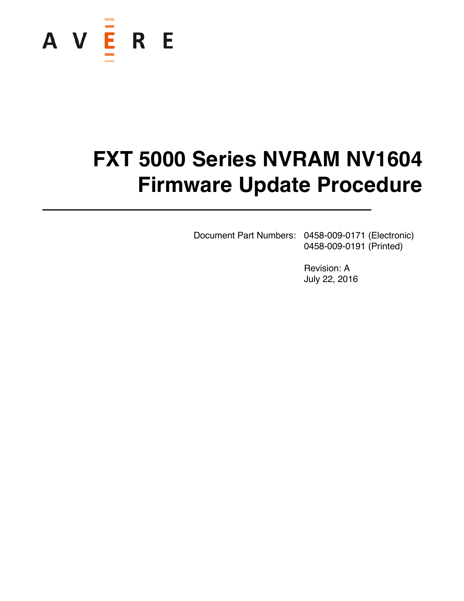

# **FXT 5000 Series NVRAM NV1604 Firmware Update Procedure**

Document Part Numbers: 0458-009-0171 (Electronic) 0458-009-0191 (Printed)

> Revision: A July 22, 2016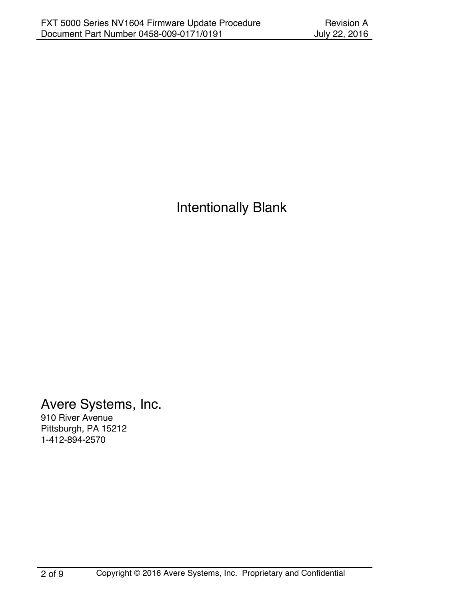Intentionally Blank

Avere Systems, Inc.

910 River Avenue Pittsburgh, PA 15212 1-412-894-2570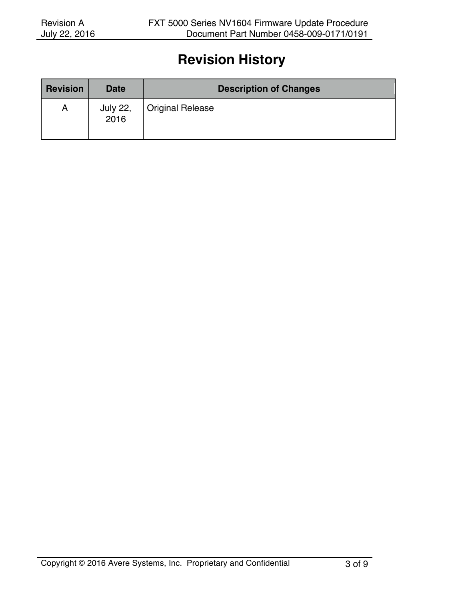#### **Revision History**

| <b>Revision</b> | <b>Date</b>      | <b>Description of Changes</b> |
|-----------------|------------------|-------------------------------|
| A               | July 22,<br>2016 | <b>Original Release</b>       |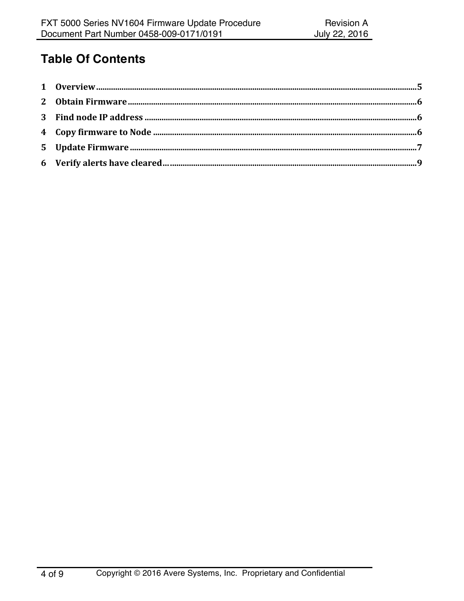#### **Table Of Contents**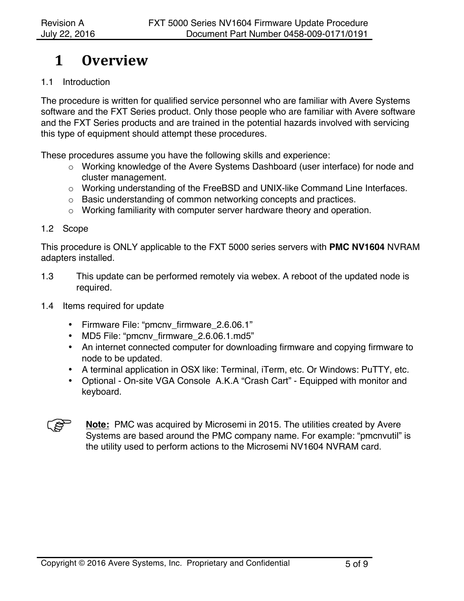### **1 Overview**

#### 1.1 Introduction

The procedure is written for qualified service personnel who are familiar with Avere Systems software and the FXT Series product. Only those people who are familiar with Avere software and the FXT Series products and are trained in the potential hazards involved with servicing this type of equipment should attempt these procedures.

These procedures assume you have the following skills and experience:

- o Working knowledge of the Avere Systems Dashboard (user interface) for node and cluster management.
- o Working understanding of the FreeBSD and UNIX-like Command Line Interfaces.
- o Basic understanding of common networking concepts and practices.
- o Working familiarity with computer server hardware theory and operation.

#### 1.2 Scope

This procedure is ONLY applicable to the FXT 5000 series servers with **PMC NV1604** NVRAM adapters installed.

- 1.3 This update can be performed remotely via webex. A reboot of the updated node is required.
- 1.4 Items required for update
	- Firmware File: "pmcnv\_firmware\_2.6.06.1"
	- MD5 File: "pmcnv\_firmware\_2.6.06.1.md5"
	- An internet connected computer for downloading firmware and copying firmware to node to be updated.
	- A terminal application in OSX like: Terminal, iTerm, etc. Or Windows: PuTTY, etc.
	- Optional On-site VGA Console A.K.A "Crash Cart" Equipped with monitor and keyboard.

**Note:** PMC was acquired by Microsemi in 2015. The utilities created by Avere Systems are based around the PMC company name. For example: "pmcnvutil" is the utility used to perform actions to the Microsemi NV1604 NVRAM card.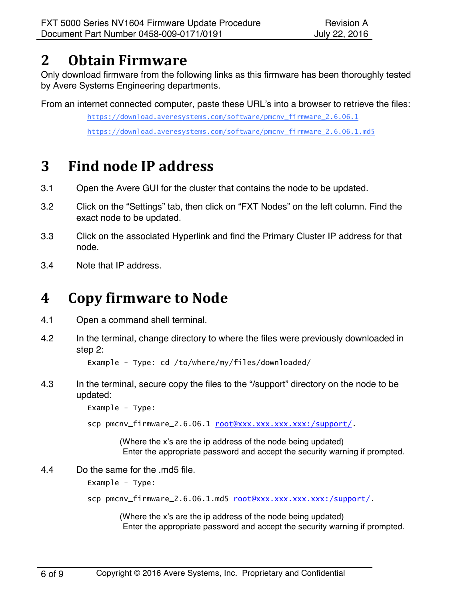### **2 Obtain Firmware**

Only download firmware from the following links as this firmware has been thoroughly tested by Avere Systems Engineering departments.

From an internet connected computer, paste these URL's into a browser to retrieve the files:

https://download.averesystems.com/software/pmcnv\_firmware\_2.6.06.1

https://download.averesystems.com/software/pmcnv\_firmware\_2.6.06.1.md5

# **3 Find node IP address**

- 3.1 Open the Avere GUI for the cluster that contains the node to be updated.
- 3.2 Click on the "Settings" tab, then click on "FXT Nodes" on the left column. Find the exact node to be updated.
- 3.3 Click on the associated Hyperlink and find the Primary Cluster IP address for that node.
- 3.4 Note that IP address.

# **4 Copy firmware to Node**

- 4.1 Open a command shell terminal.
- 4.2 In the terminal, change directory to where the files were previously downloaded in step 2:

Example - Type: cd /to/where/my/files/downloaded/

4.3 In the terminal, secure copy the files to the "/support" directory on the node to be updated:

Example - Type:

scp pmcnv\_firmware\_2.6.06.1 root@xxx.xxx.xxx.xxx:/support/.

(Where the x's are the ip address of the node being updated) Enter the appropriate password and accept the security warning if prompted.

4.4 Do the same for the .md5 file.

Example - Type:

scp pmcnv\_firmware\_2.6.06.1.md5 root@xxx.xxx.xxx.xxx:/support/.

(Where the x's are the ip address of the node being updated) Enter the appropriate password and accept the security warning if prompted.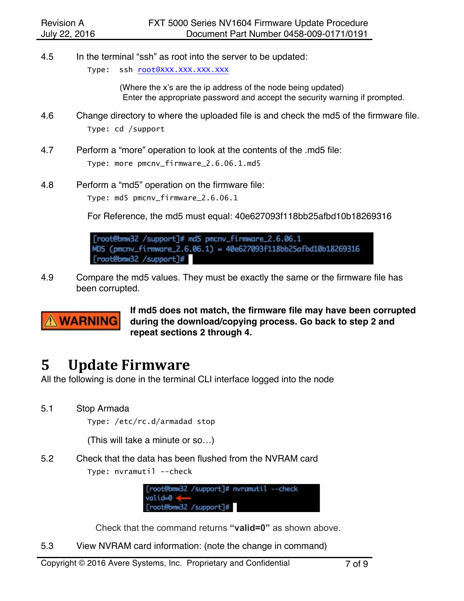4.5 In the terminal "ssh" as root into the server to be updated:

Type: ssh root@XXX.XXX.XXX.XXX

(Where the x's are the ip address of the node being updated) Enter the appropriate password and accept the security warning if prompted.

- 4.6 Change directory to where the uploaded file is and check the md5 of the firmware file. Type: cd /support
- 4.7 Perform a "more" operation to look at the contents of the .md5 file: Type: more pmcnv\_firmware\_2.6.06.1.md5
- 4.8 Perform a "md5" operation on the firmware file: Type: md5 pmcnv\_firmware\_2.6.06.1

For Reference, the md5 must equal: 40e627093f118bb25afbd10b18269316

[root@bmw32 /support]# md5 pmcnv\_firmware\_2.6.06.1 MD5 (pmcnv\_firmware\_2.6.06.1) = 40e627093f118bb25afbd10b18269316 [root@bmw32 /support]#

4.9 Compare the md5 values. They must be exactly the same or the firmware file has been corrupted.



**If md5 does not match, the firmware file may have been corrupted during the download/copying process. Go back to step 2 and repeat sections 2 through 4.** 

### **5 Update Firmware**

All the following is done in the terminal CLI interface logged into the node

5.1 Stop Armada

Type: /etc/rc.d/armadad stop

(This will take a minute or so…)

5.2 Check that the data has been flushed from the NVRAM card Type: nvramutil --check

> [root@bmw32 /support]# nvramutil --check valid=0 < [root@bmw32 /support]#

Check that the command returns **"valid=0"** as shown above.

5.3 View NVRAM card information: (note the change in command)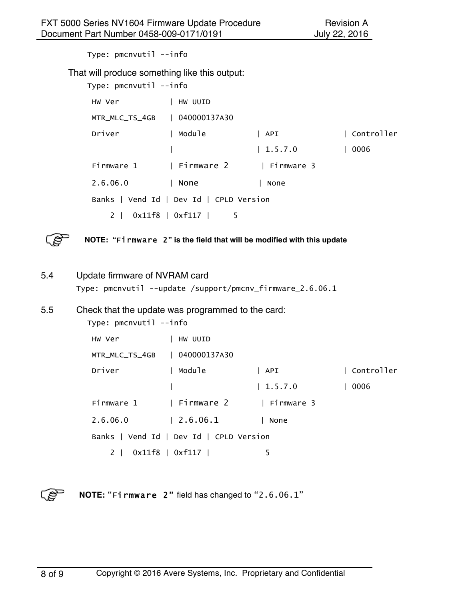Type: pmcnvutil --info That will produce something like this output: Type: pmcnvutil --info HW Ver | HW UUID MTR\_MLC\_TS\_4GB | 040000137A30 Driver | Module | API | Controller | | 1.5.7.0 | 0006 Firmware 1 | Firmware 2 | Firmware 3 2.6.06.0 | None | None Banks | Vend Id | Dev Id | CPLD Version 2 | 0x11f8 | 0xf117 | 5



**NOTE: "**Firmware 2**" is the field that will be modified with this update**

5.4 Update firmware of NVRAM card Type: pmcnvutil --update /support/pmcnv\_firmware\_2.6.06.1

#### 5.5 Check that the update was programmed to the card:

| Type: pmcnvutil --info                                    |                                      |         |            |  |  |  |
|-----------------------------------------------------------|--------------------------------------|---------|------------|--|--|--|
| HW Ver                                                    | HW UUID                              |         |            |  |  |  |
| MTR_MLC_TS_4GB   040000137A30                             |                                      |         |            |  |  |  |
| Driver                                                    | Module                               | API     | Controller |  |  |  |
|                                                           |                                      | 1.5.7.0 | 0006       |  |  |  |
|                                                           | Firmware 1   Firmware 2   Firmware 3 |         |            |  |  |  |
| 2.6.06.0                                                  | 2.6.06.1                             | None    |            |  |  |  |
| Banks $\vert$ Vend Id $\vert$ Dev Id $\vert$ CPLD Version |                                      |         |            |  |  |  |
| 2 <sup>1</sup>                                            | $0x11f8$   $0xf117$                  | 5       |            |  |  |  |
|                                                           |                                      |         |            |  |  |  |

**NOTE:** "Firmware 2" field has changed to "2.6.06.1"